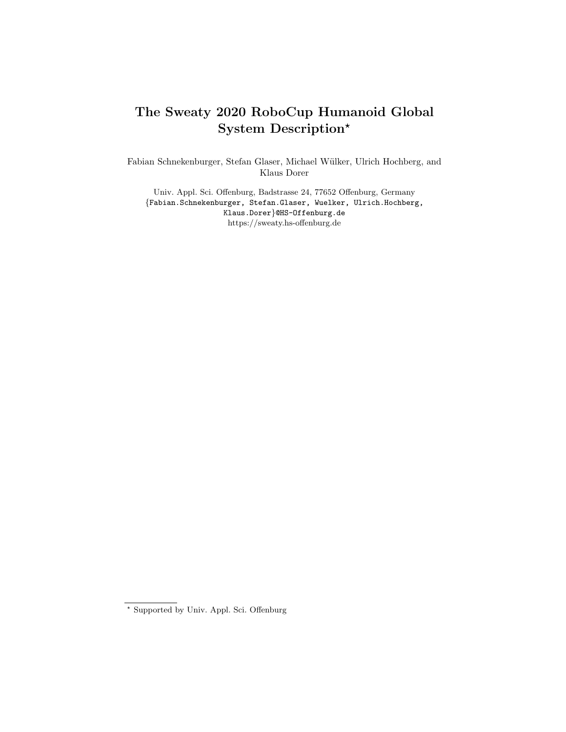# The Sweaty 2020 RoboCup Humanoid Global System Description?

Fabian Schnekenburger, Stefan Glaser, Michael W¨ulker, Ulrich Hochberg, and Klaus Dorer

Univ. Appl. Sci. Offenburg, Badstrasse 24, 77652 Offenburg, Germany {Fabian.Schnekenburger, Stefan.Glaser, Wuelker, Ulrich.Hochberg, Klaus.Dorer}@HS-Offenburg.de https://sweaty.hs-offenburg.de

<sup>?</sup> Supported by Univ. Appl. Sci. Offenburg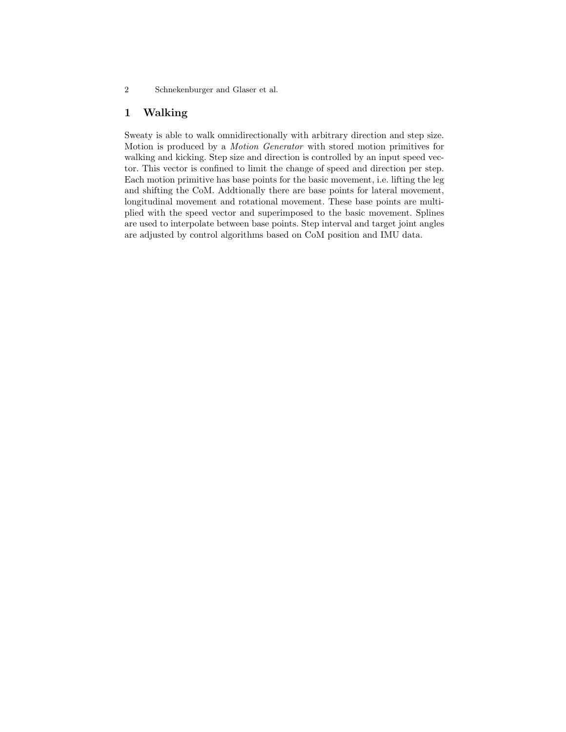#### 1 Walking

Sweaty is able to walk omnidirectionally with arbitrary direction and step size. Motion is produced by a Motion Generator with stored motion primitives for walking and kicking. Step size and direction is controlled by an input speed vector. This vector is confined to limit the change of speed and direction per step. Each motion primitive has base points for the basic movement, i.e. lifting the leg and shifting the CoM. Addtionally there are base points for lateral movement, longitudinal movement and rotational movement. These base points are multiplied with the speed vector and superimposed to the basic movement. Splines are used to interpolate between base points. Step interval and target joint angles are adjusted by control algorithms based on CoM position and IMU data.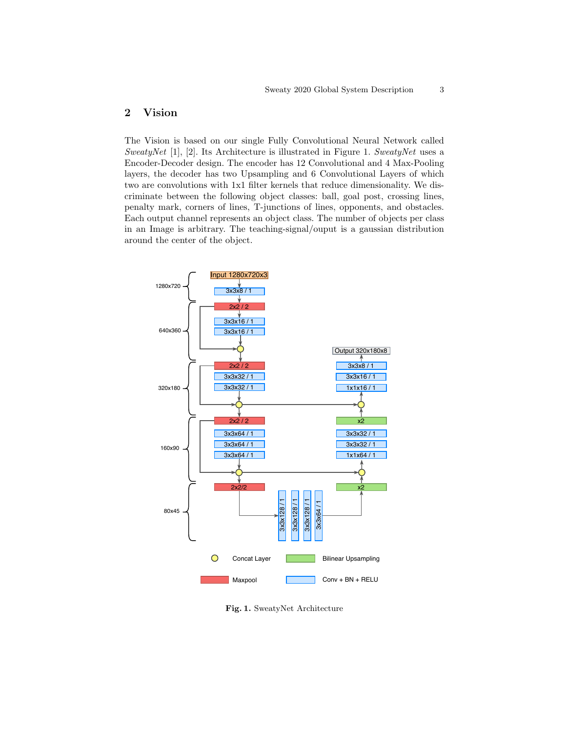# 2 Vision

The Vision is based on our single Fully Convolutional Neural Network called SweatyNet  $[1]$ ,  $[2]$ . Its Architecture is illustrated in Figure 1. SweatyNet uses a Encoder-Decoder design. The encoder has 12 Convolutional and 4 Max-Pooling layers, the decoder has two Upsampling and 6 Convolutional Layers of which two are convolutions with 1x1 filter kernels that reduce dimensionality. We discriminate between the following object classes: ball, goal post, crossing lines, penalty mark, corners of lines, T-junctions of lines, opponents, and obstacles. Each output channel represents an object class. The number of objects per class in an Image is arbitrary. The teaching-signal/ouput is a gaussian distribution around the center of the object.



Fig. 1. SweatyNet Architecture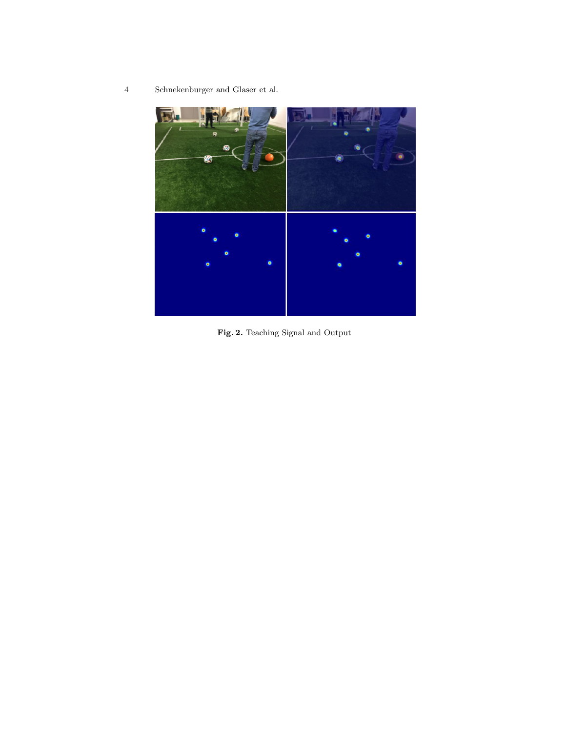

Fig. 2. Teaching Signal and Output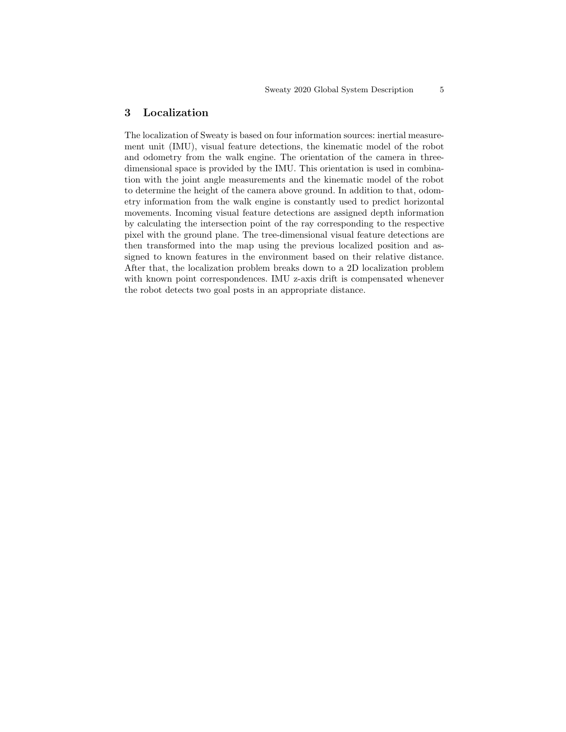#### 3 Localization

The localization of Sweaty is based on four information sources: inertial measurement unit (IMU), visual feature detections, the kinematic model of the robot and odometry from the walk engine. The orientation of the camera in threedimensional space is provided by the IMU. This orientation is used in combination with the joint angle measurements and the kinematic model of the robot to determine the height of the camera above ground. In addition to that, odometry information from the walk engine is constantly used to predict horizontal movements. Incoming visual feature detections are assigned depth information by calculating the intersection point of the ray corresponding to the respective pixel with the ground plane. The tree-dimensional visual feature detections are then transformed into the map using the previous localized position and assigned to known features in the environment based on their relative distance. After that, the localization problem breaks down to a 2D localization problem with known point correspondences. IMU z-axis drift is compensated whenever the robot detects two goal posts in an appropriate distance.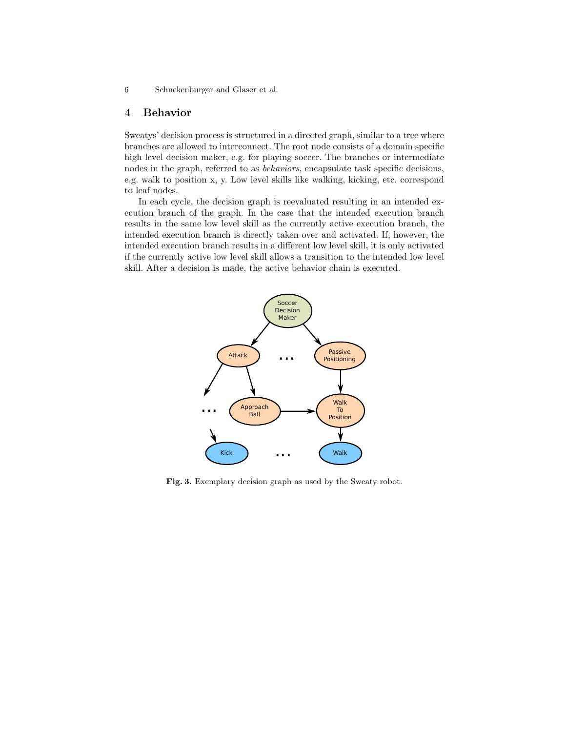#### 4 Behavior

Sweatys' decision process is structured in a directed graph, similar to a tree where branches are allowed to interconnect. The root node consists of a domain specific high level decision maker, e.g. for playing soccer. The branches or intermediate nodes in the graph, referred to as behaviors, encapsulate task specific decisions, e.g. walk to position x, y. Low level skills like walking, kicking, etc. correspond to leaf nodes.

In each cycle, the decision graph is reevaluated resulting in an intended execution branch of the graph. In the case that the intended execution branch results in the same low level skill as the currently active execution branch, the intended execution branch is directly taken over and activated. If, however, the intended execution branch results in a different low level skill, it is only activated if the currently active low level skill allows a transition to the intended low level skill. After a decision is made, the active behavior chain is executed.



Fig. 3. Exemplary decision graph as used by the Sweaty robot.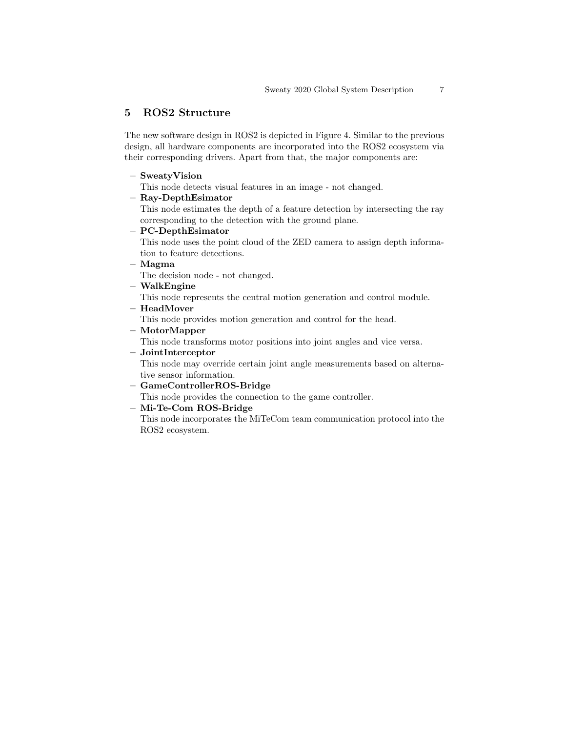### 5 ROS2 Structure

The new software design in ROS2 is depicted in Figure 4. Similar to the previous design, all hardware components are incorporated into the ROS2 ecosystem via their corresponding drivers. Apart from that, the major components are:

#### – SweatyVision

This node detects visual features in an image - not changed.

#### – Ray-DepthEsimator

This node estimates the depth of a feature detection by intersecting the ray corresponding to the detection with the ground plane.

– PC-DepthEsimator

This node uses the point cloud of the ZED camera to assign depth information to feature detections.

– Magma

The decision node - not changed.

– WalkEngine

This node represents the central motion generation and control module.

– HeadMover

This node provides motion generation and control for the head.

– MotorMapper

This node transforms motor positions into joint angles and vice versa.

– JointInterceptor

This node may override certain joint angle measurements based on alternative sensor information.

– GameControllerROS-Bridge

This node provides the connection to the game controller.

#### – Mi-Te-Com ROS-Bridge

This node incorporates the MiTeCom team communication protocol into the ROS2 ecosystem.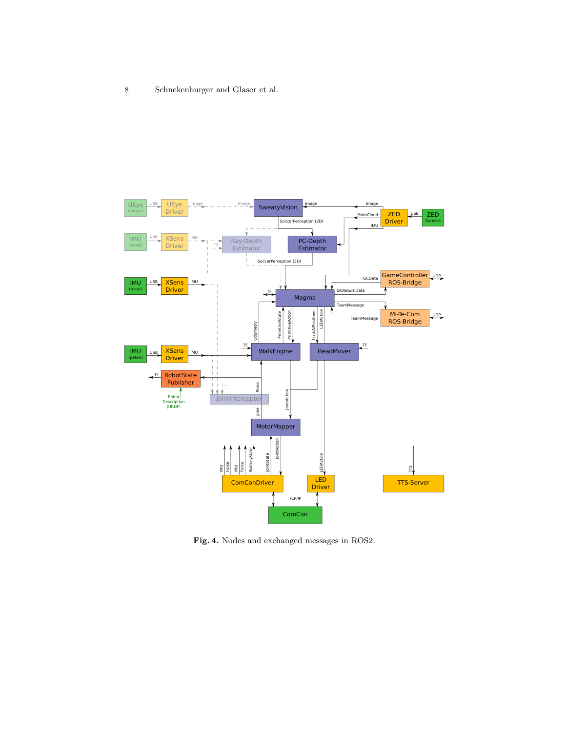

Fig. 4. Nodes and exchanged messages in ROS2.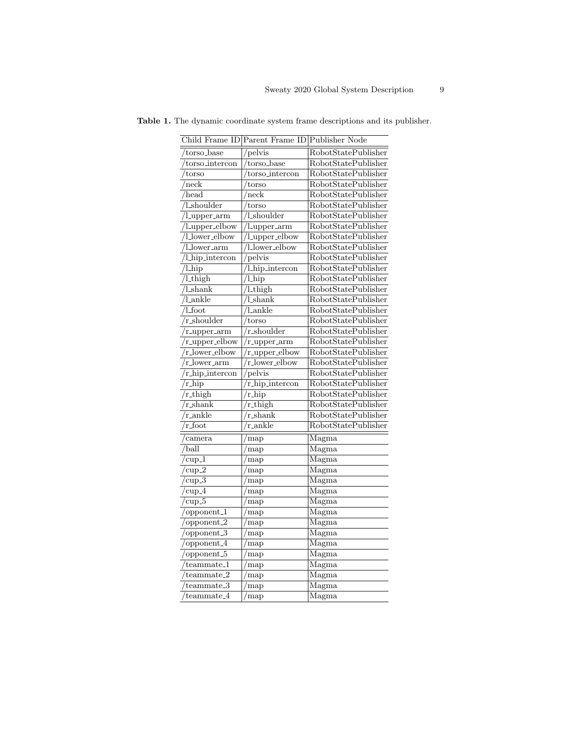|                                                           | Child Frame ID Parent Frame ID Publisher Node |                            |
|-----------------------------------------------------------|-----------------------------------------------|----------------------------|
| torso_base                                                | /pelvis                                       | <b>RobotStatePublisher</b> |
| $/torso\_intercon$                                        | torso_base                                    | RobotStatePublisher        |
| $t$ orso                                                  | torso_intercon                                | RobotStatePublisher        |
| $/\text{neck}$                                            | 'torso                                        | RobotStatePublisher        |
| $/$ head                                                  | $^{\prime}$ neck                              | <b>RobotStatePublisher</b> |
| $\sqrt{\frac{1 - \text{shoulder}}{1 - \text{shoulder}}}}$ | torso                                         | RobotStatePublisher        |
| $\overline{\text{/l} \text{\_upper\_arm}}$                | 'l_shoulder                                   | <b>RobotStatePublisher</b> |
| /l_upper_elbow                                            | Lupper_arm                                    | <b>RobotStatePublisher</b> |
| /l_lower_elbow                                            | /Lupper_elbow                                 | RobotStatePublisher        |
| $\overline{\text{/l_lower\_arm}}$                         | /1_lower_elbow                                | RobotStatePublisher        |
| /Lhip_intercon                                            | pelvis                                        | <b>RobotStatePublisher</b> |
| $/l_$ hip                                                 | /l_hip_intercon                               | RobotStatePublisher        |
| $\sqrt{l_{\text{thigh}}}$                                 | $\overline{/l_{\text{hip}}}$                  | <b>RobotStatePublisher</b> |
| $\sqrt{\frac{1 - \text{shank}}{n}}$                       | /l_thigh                                      | RobotStatePublisher        |
| $\sqrt{$ l_ankle                                          | $\overline{1\text{-shank}}$                   | <b>RobotStatePublisher</b> |
| $/$ l_foot                                                | 'l_ankle                                      | <b>RobotStatePublisher</b> |
| $\sqrt{r\_shoulder}$                                      | torso                                         | RobotStatePublisher        |
| $/r$ <sub>-upper-arm</sub>                                | r_shoulder                                    | RobotStatePublisher        |
| $/r$ <sub>-upper-elbow</sub>                              | r_upper_arm                                   | <b>RobotStatePublisher</b> |
| /r_lower_elbow                                            | r_upper_elbow                                 | <b>RobotStatePublisher</b> |
| $\sqrt{r\_{lower\_arm}}$                                  | r_lower_elbow                                 | RobotStatePublisher        |
| 'r_hip_intercon                                           | pelvis                                        | RobotStatePublisher        |
| $\sqrt{r_{\text{thip}}}$                                  | $\sqrt{r_{\text{thip}}\cdot \text{intercon}}$ | <b>RobotStatePublisher</b> |
| $\sqrt{r\_thig}$ h                                        | $/r_$ hip                                     | <b>RobotStatePublisher</b> |
| $r_{\rm i}$ shank                                         | r_thigh                                       | RobotStatePublisher        |
| $\sqrt{r_{ankle}}$                                        | $r_{\rm shank}$                               | RobotStatePublisher        |
| $\gamma$ foot                                             | r_ankle                                       | RobotStatePublisher        |
| /camera                                                   | map                                           | Magma                      |
| $\sqrt{\text{ball}}$                                      | $\gamma$ map                                  | Magma                      |
| $\sqrt{\text{cup1}}$                                      | map                                           | Magma                      |
| $/\text{cup-2}$                                           | map                                           | Magma                      |
| $/\text{cup-3}$                                           | /map                                          | Magma                      |
| $/\text{cup-4}$                                           | map                                           | Magma                      |
| $\sqrt{\text{cup}_5}$                                     | 'map                                          | Magma                      |
| /opponent_1                                               | 'map                                          | Magma                      |
| $\sqrt{\text{opponent}_2}$                                | map                                           | Magma                      |
| $\sqrt{\text{opponent.3}}$                                | map                                           | Magma                      |
| /opponent_4                                               | 'map                                          | $\overline{\text{Magma}}$  |
| $\sqrt{\text{opponent}_5}$                                | map                                           | Magma                      |
| /teammate_1                                               | map                                           | Magma                      |
| $/$ teammate_2                                            | map                                           | $\overline{\text{Magma}}$  |
| $/$ teammate_3                                            | map                                           | Magma                      |
| $/$ teammate_4                                            | map                                           | Magma                      |

Table 1. The dynamic coordinate system frame descriptions and its publisher.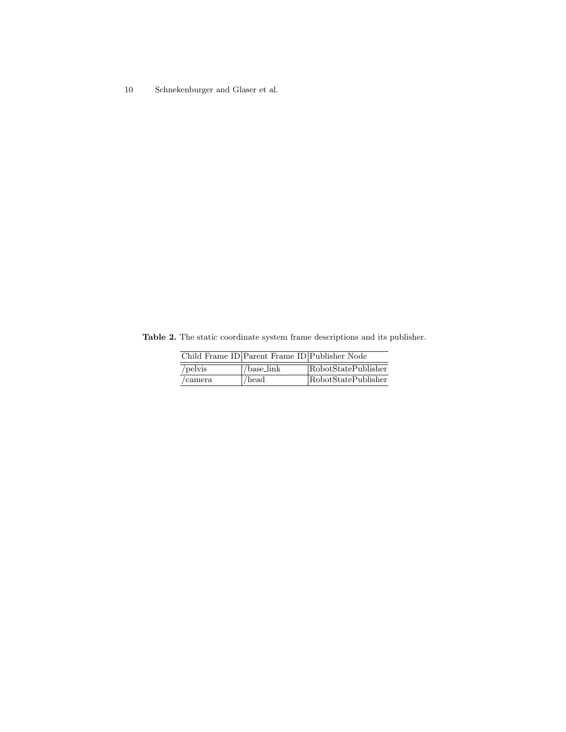Table 2. The static coordinate system frame descriptions and its publisher.

|                 | Child Frame ID Parent Frame ID Publisher Node |                     |
|-----------------|-----------------------------------------------|---------------------|
| /pelvis         | /base_link                                    | RobotStatePublisher |
| $\alpha$ camera | $/$ head                                      | RobotStatePublisher |